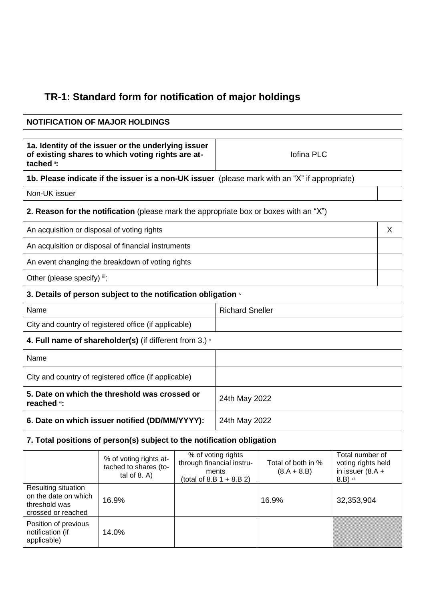## **TR-1: Standard form for notification of major holdings**

## **NOTIFICATION OF MAJOR HOLDINGS 1a. Identity of the issuer or the underlying issuer of existing shares to which voting rights are attached** ii**:** Iofina PLC **1b. Please indicate if the issuer is a non-UK issuer** (please mark with an "X" if appropriate) Non-UK issuer **2. Reason for the notification** (please mark the appropriate box or boxes with an "X") An acquisition or disposal of voting rights X and X and X and X and X and X and X and X and X and X and X and X  $\lambda$ An acquisition or disposal of financial instruments An event changing the breakdown of voting rights Other (please specify) iii: **3. Details of person subject to the notification obligation**  $\dot{v}$ Name Richard Sneller City and country of registered office (if applicable) **4. Full name of shareholder(s)** (if different from 3.) <sup>v</sup> Name City and country of registered office (if applicable) **5. Date on which the threshold was crossed or reached** vi**:** 24th May 2022 **6. Date on which issuer notified (DD/MM/YYYY):** 24th May 2022 **7. Total positions of person(s) subject to the notification obligation** % of voting rights attached to shares (total of 8. A) % of voting rights through financial instruments  $(total of 8.B 1 + 8.B 2)$ Total of both in %  $(8.A + 8.B)$ Total number of voting rights held in issuer (8.A + 8.B) vii Resulting situation on the date on which threshold was crossed or reached 16.9% 16.9% 32,353,904

Position of previous notification (if applicable)

14.0%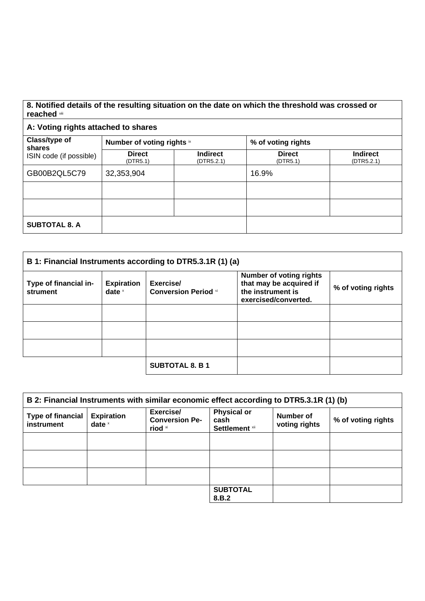## **8. Notified details of the resulting situation on the date on which the threshold was crossed or reached** viii

## **A: Voting rights attached to shares**

| Class/type of<br>shares<br>ISIN code (if possible) | Number of voting rights ix |                               | % of voting rights        |                               |
|----------------------------------------------------|----------------------------|-------------------------------|---------------------------|-------------------------------|
|                                                    | <b>Direct</b><br>(DTR5.1)  | <b>Indirect</b><br>(DTR5.2.1) | <b>Direct</b><br>(DTR5.1) | <b>Indirect</b><br>(DTR5.2.1) |
| GB00B2QL5C79                                       | 32,353,904                 |                               | 16.9%                     |                               |
|                                                    |                            |                               |                           |                               |
|                                                    |                            |                               |                           |                               |
| <b>SUBTOTAL 8. A</b>                               |                            |                               |                           |                               |

| B 1: Financial Instruments according to DTR5.3.1R (1) (a) |                               |                                          |                                                                                                        |                    |
|-----------------------------------------------------------|-------------------------------|------------------------------------------|--------------------------------------------------------------------------------------------------------|--------------------|
| Type of financial in-<br>strument                         | <b>Expiration</b><br>date $x$ | Exercise/<br><b>Conversion Period</b> xi | <b>Number of voting rights</b><br>that may be acquired if<br>the instrument is<br>exercised/converted. | % of voting rights |
|                                                           |                               |                                          |                                                                                                        |                    |
|                                                           |                               |                                          |                                                                                                        |                    |
|                                                           |                               |                                          |                                                                                                        |                    |
|                                                           |                               | <b>SUBTOTAL 8. B 1</b>                   |                                                                                                        |                    |

| B 2: Financial Instruments with similar economic effect according to DTR5.3.1R (1) (b) |                               |                                               |                                              |                            |                    |
|----------------------------------------------------------------------------------------|-------------------------------|-----------------------------------------------|----------------------------------------------|----------------------------|--------------------|
| <b>Type of financial</b><br>instrument                                                 | <b>Expiration</b><br>date $x$ | Exercise/<br><b>Conversion Pe-</b><br>riod xi | <b>Physical or</b><br>cash<br>Settlement xii | Number of<br>voting rights | % of voting rights |
|                                                                                        |                               |                                               |                                              |                            |                    |
|                                                                                        |                               |                                               |                                              |                            |                    |
|                                                                                        |                               |                                               |                                              |                            |                    |
|                                                                                        |                               |                                               | <b>SUBTOTAL</b><br>8.B.2                     |                            |                    |